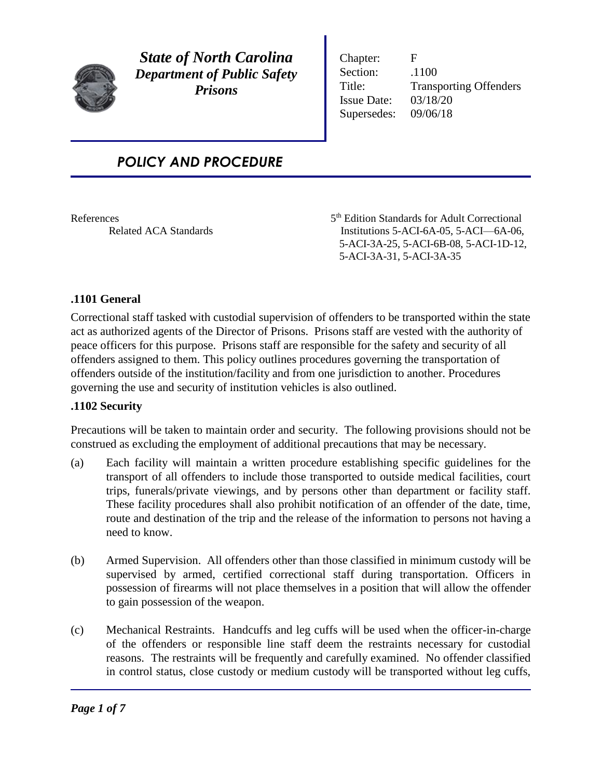

*State of North Carolina Department of Public Safety Prisons*

Chapter: F Section:  $.1100$ Title: Transporting Offenders Issue Date: 03/18/20 Supersedes: 09/06/18

# *POLICY AND PROCEDURE*

References 5<sup>th</sup> Edition Standards for Adult Correctional Related ACA Standards Institutions 5-ACI-6A-05, 5-ACI-6A-06, 5-ACI-3A-25, 5-ACI-6B-08, 5-ACI-1D-12, 5-ACI-3A-31, 5-ACI-3A-35

## **.1101 General**

Correctional staff tasked with custodial supervision of offenders to be transported within the state act as authorized agents of the Director of Prisons. Prisons staff are vested with the authority of peace officers for this purpose. Prisons staff are responsible for the safety and security of all offenders assigned to them. This policy outlines procedures governing the transportation of offenders outside of the institution/facility and from one jurisdiction to another. Procedures governing the use and security of institution vehicles is also outlined.

### **.1102 Security**

Precautions will be taken to maintain order and security. The following provisions should not be construed as excluding the employment of additional precautions that may be necessary.

- (a) Each facility will maintain a written procedure establishing specific guidelines for the transport of all offenders to include those transported to outside medical facilities, court trips, funerals/private viewings, and by persons other than department or facility staff. These facility procedures shall also prohibit notification of an offender of the date, time, route and destination of the trip and the release of the information to persons not having a need to know.
- (b) Armed Supervision. All offenders other than those classified in minimum custody will be supervised by armed, certified correctional staff during transportation. Officers in possession of firearms will not place themselves in a position that will allow the offender to gain possession of the weapon.
- (c) Mechanical Restraints. Handcuffs and leg cuffs will be used when the officer-in-charge of the offenders or responsible line staff deem the restraints necessary for custodial reasons. The restraints will be frequently and carefully examined. No offender classified in control status, close custody or medium custody will be transported without leg cuffs,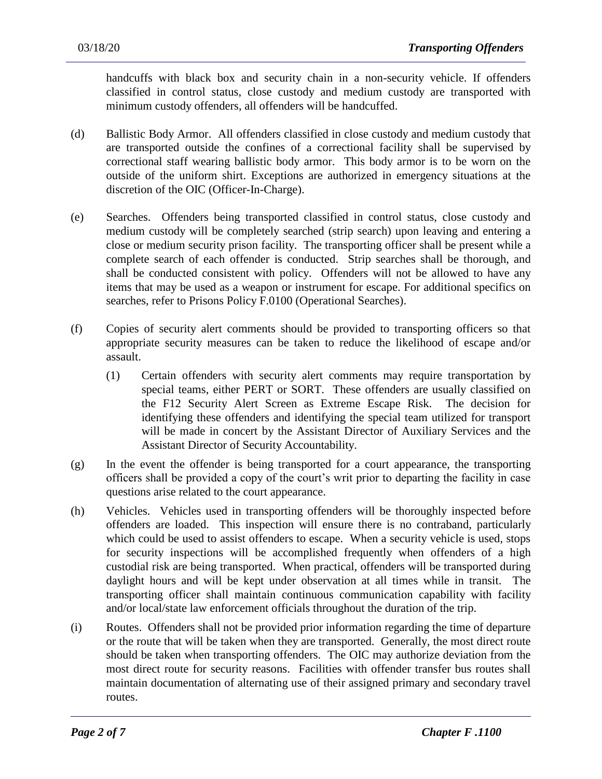handcuffs with black box and security chain in a non-security vehicle. If offenders classified in control status, close custody and medium custody are transported with minimum custody offenders, all offenders will be handcuffed.

- (d) Ballistic Body Armor. All offenders classified in close custody and medium custody that are transported outside the confines of a correctional facility shall be supervised by correctional staff wearing ballistic body armor. This body armor is to be worn on the outside of the uniform shirt. Exceptions are authorized in emergency situations at the discretion of the OIC (Officer-In-Charge).
- (e) Searches. Offenders being transported classified in control status, close custody and medium custody will be completely searched (strip search) upon leaving and entering a close or medium security prison facility. The transporting officer shall be present while a complete search of each offender is conducted. Strip searches shall be thorough, and shall be conducted consistent with policy. Offenders will not be allowed to have any items that may be used as a weapon or instrument for escape. For additional specifics on searches, refer to Prisons Policy F.0100 (Operational Searches).
- (f) Copies of security alert comments should be provided to transporting officers so that appropriate security measures can be taken to reduce the likelihood of escape and/or assault.
	- (1) Certain offenders with security alert comments may require transportation by special teams, either PERT or SORT. These offenders are usually classified on the F12 Security Alert Screen as Extreme Escape Risk. The decision for identifying these offenders and identifying the special team utilized for transport will be made in concert by the Assistant Director of Auxiliary Services and the Assistant Director of Security Accountability.
- (g) In the event the offender is being transported for a court appearance, the transporting officers shall be provided a copy of the court's writ prior to departing the facility in case questions arise related to the court appearance.
- (h) Vehicles. Vehicles used in transporting offenders will be thoroughly inspected before offenders are loaded. This inspection will ensure there is no contraband, particularly which could be used to assist offenders to escape. When a security vehicle is used, stops for security inspections will be accomplished frequently when offenders of a high custodial risk are being transported. When practical, offenders will be transported during daylight hours and will be kept under observation at all times while in transit. The transporting officer shall maintain continuous communication capability with facility and/or local/state law enforcement officials throughout the duration of the trip.
- (i) Routes. Offenders shall not be provided prior information regarding the time of departure or the route that will be taken when they are transported. Generally, the most direct route should be taken when transporting offenders. The OIC may authorize deviation from the most direct route for security reasons. Facilities with offender transfer bus routes shall maintain documentation of alternating use of their assigned primary and secondary travel routes.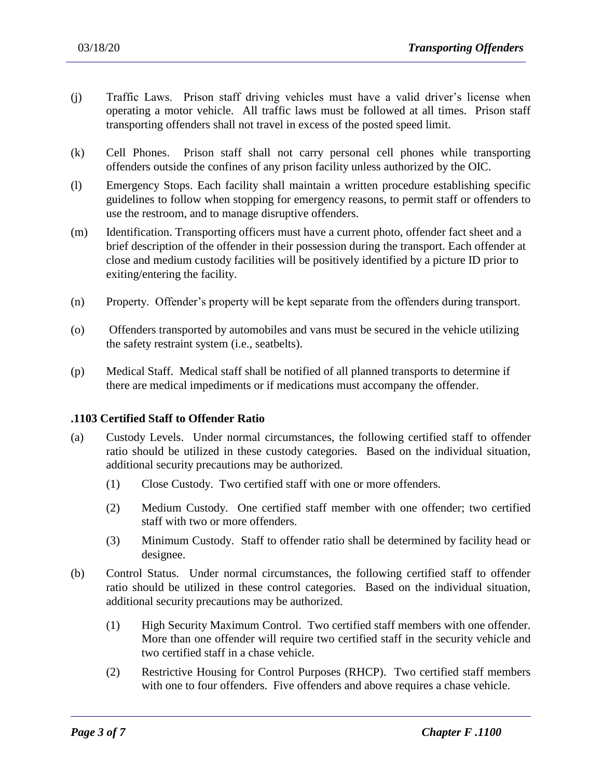- (j) Traffic Laws. Prison staff driving vehicles must have a valid driver's license when operating a motor vehicle. All traffic laws must be followed at all times. Prison staff transporting offenders shall not travel in excess of the posted speed limit.
- (k) Cell Phones. Prison staff shall not carry personal cell phones while transporting offenders outside the confines of any prison facility unless authorized by the OIC.
- (l) Emergency Stops. Each facility shall maintain a written procedure establishing specific guidelines to follow when stopping for emergency reasons, to permit staff or offenders to use the restroom, and to manage disruptive offenders.
- (m) Identification. Transporting officers must have a current photo, offender fact sheet and a brief description of the offender in their possession during the transport. Each offender at close and medium custody facilities will be positively identified by a picture ID prior to exiting/entering the facility.
- (n) Property. Offender's property will be kept separate from the offenders during transport.
- (o) Offenders transported by automobiles and vans must be secured in the vehicle utilizing the safety restraint system (i.e., seatbelts).
- (p) Medical Staff. Medical staff shall be notified of all planned transports to determine if there are medical impediments or if medications must accompany the offender.

### **.1103 Certified Staff to Offender Ratio**

- (a) Custody Levels. Under normal circumstances, the following certified staff to offender ratio should be utilized in these custody categories. Based on the individual situation, additional security precautions may be authorized.
	- (1) Close Custody. Two certified staff with one or more offenders.
	- (2) Medium Custody. One certified staff member with one offender; two certified staff with two or more offenders.
	- (3) Minimum Custody. Staff to offender ratio shall be determined by facility head or designee.
- (b) Control Status. Under normal circumstances, the following certified staff to offender ratio should be utilized in these control categories. Based on the individual situation, additional security precautions may be authorized.
	- (1) High Security Maximum Control. Two certified staff members with one offender. More than one offender will require two certified staff in the security vehicle and two certified staff in a chase vehicle.
	- (2) Restrictive Housing for Control Purposes (RHCP). Two certified staff members with one to four offenders. Five offenders and above requires a chase vehicle.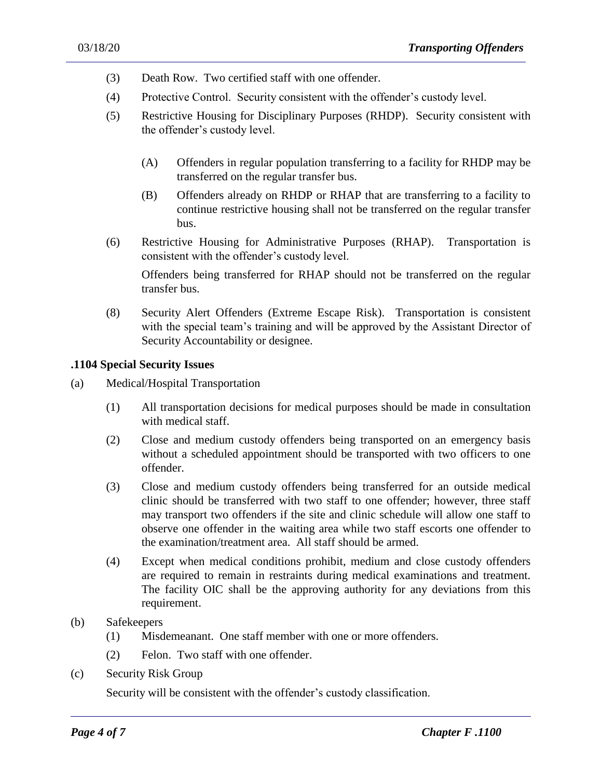- (3) Death Row. Two certified staff with one offender.
- (4) Protective Control. Security consistent with the offender's custody level.
- (5) Restrictive Housing for Disciplinary Purposes (RHDP). Security consistent with the offender's custody level.
	- (A) Offenders in regular population transferring to a facility for RHDP may be transferred on the regular transfer bus.
	- (B) Offenders already on RHDP or RHAP that are transferring to a facility to continue restrictive housing shall not be transferred on the regular transfer bus.
- (6) Restrictive Housing for Administrative Purposes (RHAP). Transportation is consistent with the offender's custody level.

Offenders being transferred for RHAP should not be transferred on the regular transfer bus.

(8) Security Alert Offenders (Extreme Escape Risk). Transportation is consistent with the special team's training and will be approved by the Assistant Director of Security Accountability or designee.

#### **.1104 Special Security Issues**

- (a) Medical/Hospital Transportation
	- (1) All transportation decisions for medical purposes should be made in consultation with medical staff.
	- (2) Close and medium custody offenders being transported on an emergency basis without a scheduled appointment should be transported with two officers to one offender.
	- (3) Close and medium custody offenders being transferred for an outside medical clinic should be transferred with two staff to one offender; however, three staff may transport two offenders if the site and clinic schedule will allow one staff to observe one offender in the waiting area while two staff escorts one offender to the examination/treatment area. All staff should be armed.
	- (4) Except when medical conditions prohibit, medium and close custody offenders are required to remain in restraints during medical examinations and treatment. The facility OIC shall be the approving authority for any deviations from this requirement.
- (b) Safekeepers
	- (1) Misdemeanant. One staff member with one or more offenders.
	- (2) Felon. Two staff with one offender.
- (c) Security Risk Group

Security will be consistent with the offender's custody classification.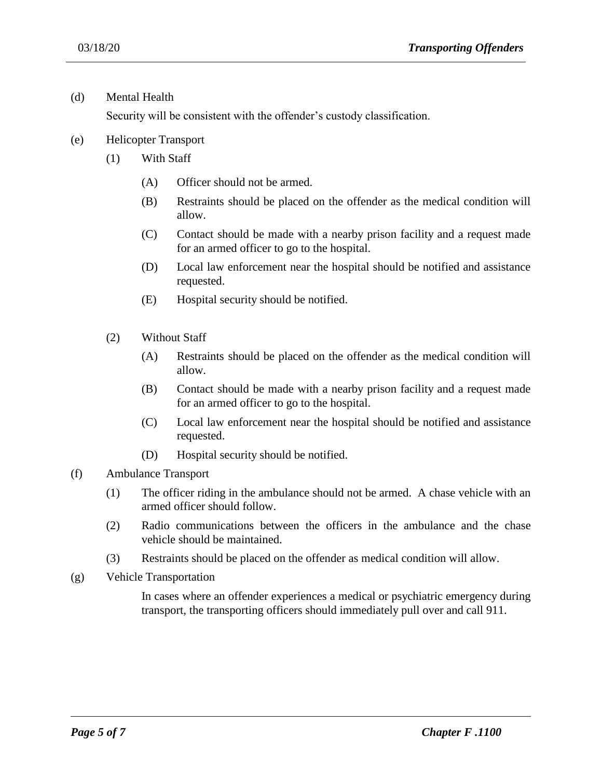(d) Mental Health

Security will be consistent with the offender's custody classification.

- (e) Helicopter Transport
	- (1) With Staff
		- (A) Officer should not be armed.
		- (B) Restraints should be placed on the offender as the medical condition will allow.
		- (C) Contact should be made with a nearby prison facility and a request made for an armed officer to go to the hospital.
		- (D) Local law enforcement near the hospital should be notified and assistance requested.
		- (E) Hospital security should be notified.
	- (2) Without Staff
		- (A) Restraints should be placed on the offender as the medical condition will allow.
		- (B) Contact should be made with a nearby prison facility and a request made for an armed officer to go to the hospital.
		- (C) Local law enforcement near the hospital should be notified and assistance requested.
		- (D) Hospital security should be notified.
- (f) Ambulance Transport
	- (1) The officer riding in the ambulance should not be armed. A chase vehicle with an armed officer should follow.
	- (2) Radio communications between the officers in the ambulance and the chase vehicle should be maintained.
	- (3) Restraints should be placed on the offender as medical condition will allow.

(g) Vehicle Transportation

In cases where an offender experiences a medical or psychiatric emergency during transport, the transporting officers should immediately pull over and call 911.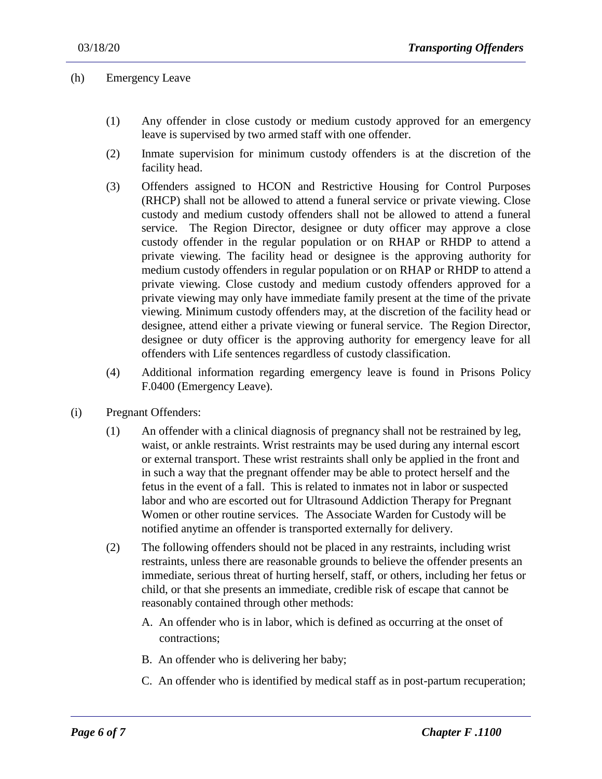(h) Emergency Leave

- (1) Any offender in close custody or medium custody approved for an emergency leave is supervised by two armed staff with one offender.
- (2) Inmate supervision for minimum custody offenders is at the discretion of the facility head.
- (3) Offenders assigned to HCON and Restrictive Housing for Control Purposes (RHCP) shall not be allowed to attend a funeral service or private viewing. Close custody and medium custody offenders shall not be allowed to attend a funeral service. The Region Director, designee or duty officer may approve a close custody offender in the regular population or on RHAP or RHDP to attend a private viewing. The facility head or designee is the approving authority for medium custody offenders in regular population or on RHAP or RHDP to attend a private viewing. Close custody and medium custody offenders approved for a private viewing may only have immediate family present at the time of the private viewing. Minimum custody offenders may, at the discretion of the facility head or designee, attend either a private viewing or funeral service. The Region Director, designee or duty officer is the approving authority for emergency leave for all offenders with Life sentences regardless of custody classification.
- (4) Additional information regarding emergency leave is found in Prisons Policy F.0400 (Emergency Leave).
- (i) Pregnant Offenders:
	- (1) An offender with a clinical diagnosis of pregnancy shall not be restrained by leg, waist, or ankle restraints. Wrist restraints may be used during any internal escort or external transport. These wrist restraints shall only be applied in the front and in such a way that the pregnant offender may be able to protect herself and the fetus in the event of a fall. This is related to inmates not in labor or suspected labor and who are escorted out for Ultrasound Addiction Therapy for Pregnant Women or other routine services. The Associate Warden for Custody will be notified anytime an offender is transported externally for delivery.
	- (2) The following offenders should not be placed in any restraints, including wrist restraints, unless there are reasonable grounds to believe the offender presents an immediate, serious threat of hurting herself, staff, or others, including her fetus or child, or that she presents an immediate, credible risk of escape that cannot be reasonably contained through other methods:
		- A. An offender who is in labor, which is defined as occurring at the onset of contractions;
		- B. An offender who is delivering her baby;

C. An offender who is identified by medical staff as in post-partum recuperation;